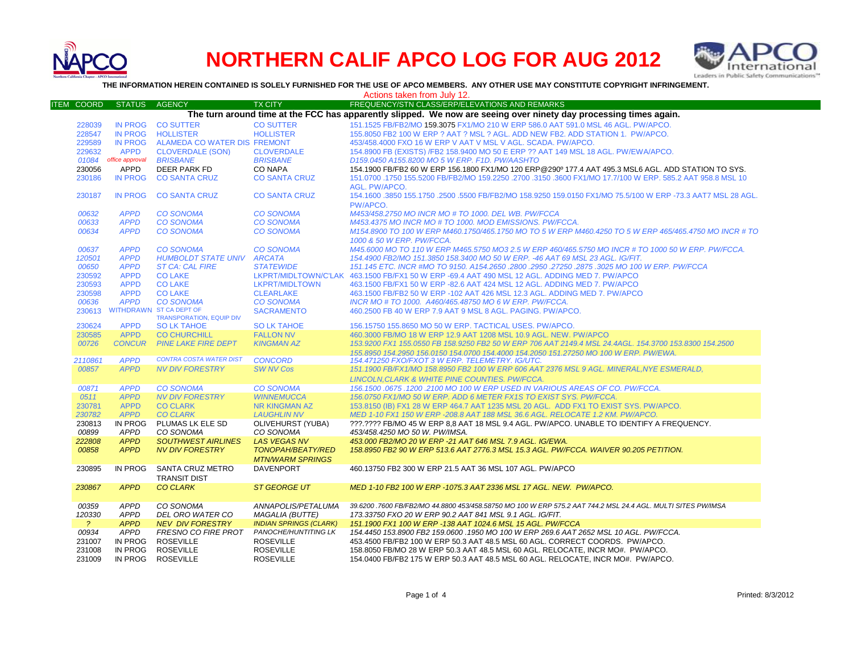

## **NORTHERN CALIF APCO LOG FOR AUG 2012**



**THE INFORMATION HEREIN CONTAINED IS SOLELY FURNISHED FOR THE USE OF APCO MEMBERS. ANY OTHER USE MAY CONSTITUTE COPYRIGHT INFRINGEMENT.**

Actions taken from July 12.

| ITEM COORD                                                                                                        | <b>STATUS</b>   | AGENCY                          | TX CITY                       | FREQUENCY/STN CLASS/ERP/ELEVATIONS AND REMARKS                                                               |  |  |  |
|-------------------------------------------------------------------------------------------------------------------|-----------------|---------------------------------|-------------------------------|--------------------------------------------------------------------------------------------------------------|--|--|--|
| The turn around time at the FCC has apparently slipped. We now are seeing over ninety day processing times again. |                 |                                 |                               |                                                                                                              |  |  |  |
| 228039                                                                                                            | IN PROG         | <b>CO SUTTER</b>                | <b>CO SUTTER</b>              | 151.1525 FB/FB2/MO 159.3075 FX1/MO 210 W ERP 586.0 AAT 591.0 MSL 46 AGL, PW/APCO.                            |  |  |  |
| 228547                                                                                                            | <b>IN PROG</b>  | <b>HOLLISTER</b>                | <b>HOLLISTER</b>              | 155.8050 FB2 100 W ERP ? AAT ? MSL ? AGL. ADD NEW FB2. ADD STATION 1. PW/APCO.                               |  |  |  |
| 229589                                                                                                            | <b>IN PROG</b>  | ALAMEDA CO WATER DIS FREMONT    |                               | 453/458,4000 FXO 16 W ERP V AAT V MSL V AGL, SCADA, PW/APCO,                                                 |  |  |  |
| 229632                                                                                                            | <b>APPD</b>     | <b>CLOVERDALE (SON)</b>         | <b>CLOVERDALE</b>             | 154.8900 FB (EXISTS) /FB2 158.9400 MO 50 E ERP ?? AAT 149 MSL 18 AGL. PW/EWA/APCO.                           |  |  |  |
|                                                                                                                   | office approval |                                 |                               |                                                                                                              |  |  |  |
| 01084                                                                                                             |                 | <b>BRISBANE</b>                 | <b>BRISBANE</b>               | D159.0450 A155.8200 MO 5 W ERP. F1D. PW/AASHTO                                                               |  |  |  |
| 230056                                                                                                            | APPD            | DEER PARK FD                    | <b>CO NAPA</b>                | 154.1900 FB/FB2 60 W ERP 156.1800 FX1/MO 120 ERP@290º 177.4 AAT 495.3 MSL6 AGL. ADD STATION TO SYS.          |  |  |  |
| 230186                                                                                                            | <b>IN PROG</b>  | <b>CO SANTA CRUZ</b>            | <b>CO SANTA CRUZ</b>          | 151.0700 .1750 155.5200 FB/FB2/MO 159.2250 .2700 .3150 .3600 FX1/MO 17.7/100 W ERP. 585.2 AAT 958.8 MSL 10   |  |  |  |
|                                                                                                                   |                 |                                 |                               | AGL. PW/APCO.                                                                                                |  |  |  |
| 230187                                                                                                            | <b>IN PROG</b>  | <b>CO SANTA CRUZ</b>            | <b>CO SANTA CRUZ</b>          | 154.1600 .3850 155.1750 .2500 .5500 FB/FB2/MO 158.9250 159.0150 FX1/MO 75.5/100 W ERP -73.3 AAT7 MSL 28 AGL. |  |  |  |
|                                                                                                                   |                 |                                 |                               | PW/APCO.                                                                                                     |  |  |  |
| 00632                                                                                                             | <b>APPD</b>     | <b>CO SONOMA</b>                | <b>CO SONOMA</b>              | M453/458.2750 MO INCR MO # TO 1000. DEL WB. PW/FCCA                                                          |  |  |  |
| 00633                                                                                                             | <b>APPD</b>     | <b>CO SONOMA</b>                | <b>CO SONOMA</b>              | M453.4375 MO INCR MO # TO 1000, MOD EMISSIONS, PW/FCCA.                                                      |  |  |  |
| 00634                                                                                                             | <b>APPD</b>     | <b>CO SONOMA</b>                | <b>CO SONOMA</b>              | M154.8900 TO 100 W ERP M460.1750/465.1750 MO TO 5 W ERP M460.4250 TO 5 W ERP 465/465.4750 MO INCR # TO       |  |  |  |
|                                                                                                                   |                 |                                 |                               | 1000 & 50 W ERP. PW/FCCA.                                                                                    |  |  |  |
| 00637                                                                                                             | <b>APPD</b>     | <b>CO SONOMA</b>                | <b>CO SONOMA</b>              | M45.6000 MO TO 110 W ERP M465.5750 MO3 2.5 W ERP 460/465.5750 MO INCR # TO 1000 50 W ERP. PW/FCCA.           |  |  |  |
| 120501                                                                                                            | <b>APPD</b>     | HUMBOLDT STATE UNIV ARCATA      |                               | 154.4900 FB2/MO 151.3850 158.3400 MO 50 W ERP. -46 AAT 69 MSL 23 AGL. IG/FIT.                                |  |  |  |
| 00650                                                                                                             | <b>APPD</b>     | <b>ST CA: CAL FIRE</b>          | <b>STATEWIDE</b>              | 151.145 ETC. INCR #MO TO 9150. A154.2650 .2800 .2950 .27250 .2875 .3025 MO 100 W ERP. PW/FCCA                |  |  |  |
| 230592                                                                                                            | <b>APPD</b>     | <b>CO LAKE</b>                  |                               | LKPRT/MIDLTOWN/C'LAK 463.1500 FB/FX1 50 W ERP -69.4 AAT 490 MSL 12 AGL. ADDING MED 7. PW/APCO                |  |  |  |
| 230593                                                                                                            | <b>APPD</b>     | <b>CO LAKE</b>                  | <b>LKPRT/MIDLTOWN</b>         | 463.1500 FB/FX1 50 W ERP -82.6 AAT 424 MSL 12 AGL. ADDING MED 7. PW/APCO                                     |  |  |  |
| 230598                                                                                                            | <b>APPD</b>     | <b>CO LAKE</b>                  | <b>CLEARLAKE</b>              | 463.1500 FB/FB2 50 W ERP -102 AAT 426 MSL 12.3 AGL, ADDING MED 7, PW/APCO                                    |  |  |  |
| 00636                                                                                                             | <b>APPD</b>     | <b>CO SONOMA</b>                | <b>CO SONOMA</b>              | INCR MO # TO 1000, A460/465.48750 MO 6 W ERP. PW/FCCA.                                                       |  |  |  |
| 230613                                                                                                            |                 | <b>WITHDRAWN ST CA DEPT OF</b>  | <b>SACRAMENTO</b>             | 460.2500 FB 40 W ERP 7.9 AAT 9 MSL 8 AGL, PAGING, PW/APCO,                                                   |  |  |  |
|                                                                                                                   |                 | <b>TRANSPORATION, EQUIP DIV</b> |                               |                                                                                                              |  |  |  |
| 230624                                                                                                            | <b>APPD</b>     | <b>SO LK TAHOE</b>              | <b>SO LK TAHOE</b>            | 156.15750 155.8650 MO 50 W ERP. TACTICAL USES. PW/APCO.                                                      |  |  |  |
| 230585                                                                                                            | <b>APPD</b>     | <b>CO CHURCHILL</b>             | <b>FALLON NV</b>              | 460,3000 FB/MO 18 W ERP 12.9 AAT 1208 MSL 10.9 AGL, NEW, PW/APCO                                             |  |  |  |
| 00726                                                                                                             | <b>CONCUR</b>   | <b>PINE LAKE FIRE DEPT</b>      | <b>KINGMAN AZ</b>             | 153.9200 FX1 155.0550 FB 158.9250 FB2 50 W ERP 706 AAT 2149.4 MSL 24.4AGL. 154.3700 153.8300 154.2500        |  |  |  |
|                                                                                                                   |                 |                                 |                               | 155.8950 154.2950 156.0150 154.0700 154.4000 154.2050 151.27250 MO 100 W ERP. PW/EWA.                        |  |  |  |
| 2110861                                                                                                           | <b>APPD</b>     | <b>CONTRA COSTA WATER DIST</b>  | <b>CONCORD</b>                | 154.471250 FXO/FXOT 3 W ERP. TELEMETRY. IG/UTC.                                                              |  |  |  |
| 00857                                                                                                             | <b>APPD</b>     | <b>NV DIV FORESTRY</b>          | <b>SW NV Cos</b>              | 151.1900 FB/FX1/MO 158.8950 FB2 100 W ERP 606 AAT 2376 MSL 9 AGL. MINERAL, NYE ESMERALD,                     |  |  |  |
|                                                                                                                   |                 |                                 |                               | LINCOLN.CLARK & WHITE PINE COUNTIES. PW/FCCA.                                                                |  |  |  |
|                                                                                                                   |                 |                                 |                               | 156.1500.0675.1200.2100 MO 100 W ERP USED IN VARIOUS AREAS OF CO. PW/FCCA.                                   |  |  |  |
| 00871                                                                                                             | <b>APPD</b>     | <b>CO SONOMA</b>                | <b>CO SONOMA</b>              |                                                                                                              |  |  |  |
| 0511                                                                                                              | <b>APPD</b>     | <b>NV DIV FORESTRY</b>          | <b>WINNEMUCCA</b>             | 156.0750 FX1/MO 50 W ERP. ADD 6 METER FX1S TO EXIST SYS. PW/FCCA.                                            |  |  |  |
| 230781                                                                                                            | <b>APPD</b>     | <b>CO CLARK</b>                 | <b>NR KINGMAN AZ</b>          | 153.8150 (IB) FX1 28 W ERP 464.7 AAT 1235 MSL 20 AGL. ADD FX1 TO EXIST SYS. PW/APCO.                         |  |  |  |
| 230782                                                                                                            | <b>APPD</b>     | <b>CO CLARK</b>                 | <b>LAUGHLIN NV</b>            | MED 1-10 FX1 150 W ERP -208.8 AAT 188 MSL 36.6 AGL. RELOCATE 1.2 KM. PW/APCO.                                |  |  |  |
| 230813                                                                                                            | IN PROG         | PLUMAS LK ELE SD                | <b>OLIVEHURST (YUBA)</b>      | ???.???? FB/MO 45 W ERP 8.8 AAT 18 MSL 9.4 AGL. PW/APCO, UNABLE TO IDENTIFY A FREQUENCY.                     |  |  |  |
| 00899                                                                                                             | <b>APPD</b>     | CO SONOMA                       | CO SONOMA                     | 453/458.4250 MO 50 W. PW/IMSA.                                                                               |  |  |  |
| 222808                                                                                                            | <b>APPD</b>     | <b>SOUTHWEST AIRLINES</b>       | <b>LAS VEGAS NV</b>           | 453.000 FB2/MO 20 W ERP -21 AAT 646 MSL 7.9 AGL. IG/EWA.                                                     |  |  |  |
| 00858                                                                                                             | <b>APPD</b>     | <b>NV DIV FORESTRY</b>          | <b>TONOPAH/BEATY/RED</b>      | 158.8950 FB2 90 W ERP 513.6 AAT 2776.3 MSL 15.3 AGL. PW/FCCA. WAIVER 90.205 PETITION.                        |  |  |  |
|                                                                                                                   |                 |                                 | <b>MTN/WARM SPRINGS</b>       |                                                                                                              |  |  |  |
| 230895                                                                                                            | IN PROG         | SANTA CRUZ METRO                | <b>DAVENPORT</b>              | 460.13750 FB2 300 W ERP 21.5 AAT 36 MSL 107 AGL. PW/APCO                                                     |  |  |  |
|                                                                                                                   |                 | <b>TRANSIT DIST</b>             |                               |                                                                                                              |  |  |  |
| 230867                                                                                                            | <b>APPD</b>     | <b>CO CLARK</b>                 | <b>ST GEORGE UT</b>           | MED 1-10 FB2 100 W ERP -1075.3 AAT 2336 MSL 17 AGL, NEW. PW/APCO.                                            |  |  |  |
|                                                                                                                   |                 |                                 |                               |                                                                                                              |  |  |  |
| 00359                                                                                                             | <b>APPD</b>     | CO SONOMA                       | ANNAPOLIS/PETALUMA            | 39.6200.7600 FB/FB2/MO 44.8800 453/458.58750 MO 100 W ERP 575.2 AAT 744.2 MSL 24.4 AGL. MULTI SITES PW/IMSA  |  |  |  |
| 120330                                                                                                            | <b>APPD</b>     | <b>DEL ORO WATER CO</b>         | <b>MAGALIA (BUTTE)</b>        | 173.33750 FXO 20 W ERP 90.2 AAT 841 MSL 9.1 AGL. IG/FIT.                                                     |  |  |  |
| $\mathcal{P}$                                                                                                     | <b>APPD</b>     | <b>NEV DIV FORESTRY</b>         | <b>INDIAN SPRINGS (CLARK)</b> | 151.1900 FX1 100 W ERP -138 AAT 1024.6 MSL 15 AGL. PW/FCCA                                                   |  |  |  |
| 00934                                                                                                             | <b>APPD</b>     | <b>FRESNO CO FIRE PROT</b>      | PANOCHE/HUNTITING LK          | 154.4450 153.8900 FB2 159.0600 .1950 MO 100 W ERP 269.6 AAT 2652 MSL 10 AGL. PW/FCCA.                        |  |  |  |
| 231007                                                                                                            | IN PROG         | <b>ROSEVILLE</b>                | <b>ROSEVILLE</b>              | 453.4500 FB/FB2 100 W ERP 50.3 AAT 48.5 MSL 60 AGL. CORRECT COORDS. PW/APCO.                                 |  |  |  |
| 231008                                                                                                            | IN PROG         | <b>ROSEVILLE</b>                | <b>ROSEVILLE</b>              | 158.8050 FB/MO 28 W ERP 50.3 AAT 48.5 MSL 60 AGL. RELOCATE, INCR MO#. PW/APCO.                               |  |  |  |
| 231009                                                                                                            | IN PROG         | <b>ROSEVILLE</b>                | <b>ROSEVILLE</b>              | 154.0400 FB/FB2 175 W ERP 50.3 AAT 48.5 MSL 60 AGL. RELOCATE, INCR MO#. PW/APCO.                             |  |  |  |
|                                                                                                                   |                 |                                 |                               |                                                                                                              |  |  |  |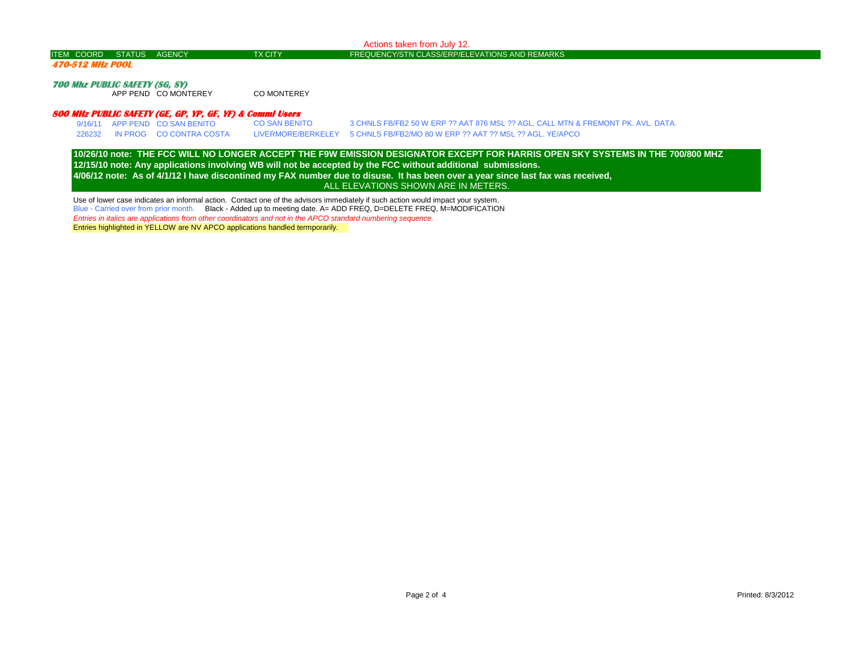| ITEM COORD STATUS AGENCY | TX CITY | <b>FREQUENCY/STN CLASS/ERP/ELEVATIONS AND REMARKS</b> |
|--------------------------|---------|-------------------------------------------------------|

Actions taken from July 12.

## **470-512 MHz POOL**

**700 Mhz PUBLIC SAFETY (SG, SY)**

APP PEND CO MONTEREY CO MONTEREY

## **800 MHz PUBLIC SAFETY (GE, GP, YP, GF, YF) & Comml Users**

9/16/11 APP PEND CO SAN BENITO CO SAN BENITO 3 CHNLS FB/FB2 50 W ERP ?? AAT 876 MSL ?? AGL. CALL MTN & FREMONT PK. AVL. DATA. 226232 IN PROG CO CONTRA COSTA LIVERMORE/BERKELEY 5 CHNLS FB/FB2/MO 80 W ERP ?? AAT ?? MSL ?? AGL. YE/APCO

**12/15/10 note: Any applications involving WB will not be accepted by the FCC without additional submissions. 4/06/12 note: As of 4/1/12 I have discontined my FAX number due to disuse. It has been over a year since last fax was received, 10/26/10 note: THE FCC WILL NO LONGER ACCEPT THE F9W EMISSION DESIGNATOR EXCEPT FOR HARRIS OPEN SKY SYSTEMS IN THE 700/800 MHZ**  ALL ELEVATIONS SHOWN ARE IN METERS.

Use of lower case indicates an informal action. Contact one of the advisors immediately if such action would impact your system. Blue - Carried over from prior month. Black - Added up to meeting date. A= ADD FREQ, D=DELETE FREQ, M=MODIFICATION *Entries in italics are applications from other coordinators and not in the APCO standard numbering sequence.* Entries highlighted in YELLOW are NV APCO applications handled termporarily.